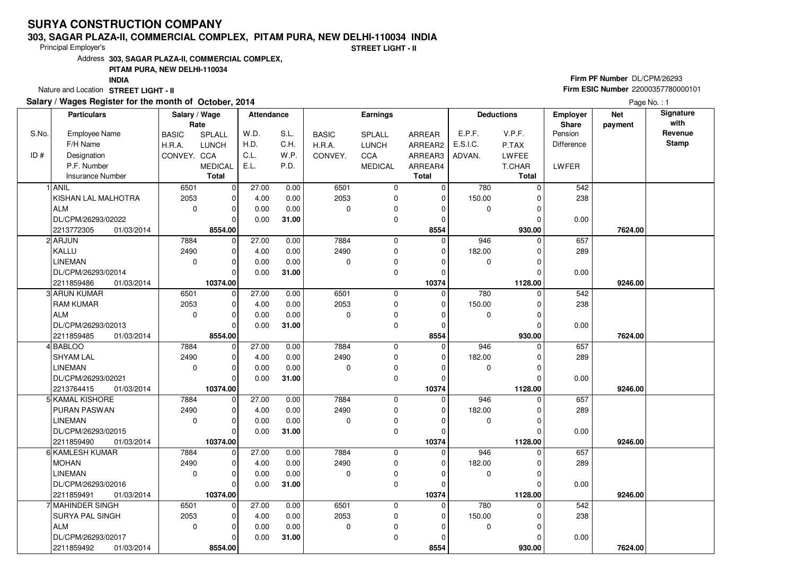# **SURYA CONSTRUCTION COMPANY**

#### **303, SAGAR PLAZA-II, COMMERCIAL COMPLEX, PITAM PURA, NEW DELHI-110034 INDIA**

Principal Employer's

**STREET LIGHT - II**

Address**303, SAGAR PLAZA-II, COMMERCIAL COMPLEX,**

### **PITAM PURA, NEW DELHI-110034**

**INDIA**

Nature and Location **STREET LIGHT - II** 

## **Salary / Wages Register for the month of October, 2014**

## **Firm PF Number** DL/CPM/26293 **Firm ESIC Number** <sup>22000357780000101</sup>

Page No. : 1

| <b>Particulars</b> |                          | Salary / Wage<br>Rate |                | <b>Attendance</b> |       | <b>Earnings</b> |                |              | <b>Deductions</b> |               | <b>Employer</b><br>Share | <b>Net</b><br>payment | Signature<br>with |
|--------------------|--------------------------|-----------------------|----------------|-------------------|-------|-----------------|----------------|--------------|-------------------|---------------|--------------------------|-----------------------|-------------------|
| S.No.              | <b>Employee Name</b>     | <b>BASIC</b>          | SPLALL         | W.D.              | S.L.  | <b>BASIC</b>    | SPLALL         | ARREAR       | E.P.F.            | V.P.F.        | Pension                  |                       | Revenue           |
|                    | F/H Name                 | H.R.A.                | <b>LUNCH</b>   | H.D.              | C.H.  | H.R.A.          | LUNCH          | ARREAR2      | E.S.I.C.          | P.TAX         | <b>Difference</b>        |                       | <b>Stamp</b>      |
| ID#                | Designation              | CONVEY. CCA           |                | C.L.              | W.P.  | CONVEY.         | CCA            | ARREAR3      | ADVAN.            | <b>LWFEE</b>  |                          |                       |                   |
|                    | P.F. Number              |                       | <b>MEDICAL</b> | E.L.              | P.D.  |                 | <b>MEDICAL</b> | ARREAR4      |                   | T.CHAR        | LWFER                    |                       |                   |
|                    | <b>Insurance Number</b>  |                       | <b>Total</b>   |                   |       |                 |                | <b>Total</b> |                   | <b>Total</b>  |                          |                       |                   |
|                    | 1 ANIL                   | 6501                  | $\mathbf 0$    | 27.00             | 0.00  | 6501            | 0              | $\mathbf 0$  | 780               | $\Omega$      | 542                      |                       |                   |
|                    | KISHAN LAL MALHOTRA      | 2053                  | $\mathbf 0$    | 4.00              | 0.00  | 2053            | 0              | $\mathbf 0$  | 150.00            | $\Omega$      | 238                      |                       |                   |
|                    | <b>ALM</b>               | $\mathbf 0$           | $\pmb{0}$      | 0.00              | 0.00  | 0               | 0              | $\mathbf 0$  | $\mathbf 0$       | $\Omega$      |                          |                       |                   |
|                    | DL/CPM/26293/02022       |                       | $\Omega$       | 0.00              | 31.00 |                 | 0              | $\Omega$     |                   | $\mathcal{C}$ | 0.00                     |                       |                   |
|                    | 2213772305<br>01/03/2014 |                       | 8554.00        |                   |       |                 |                | 8554         |                   | 930.00        |                          | 7624.00               |                   |
|                    | 2 ARJUN                  | 7884                  | $\mathbf 0$    | 27.00             | 0.00  | 7884            | 0              | $\mathbf 0$  | 946               | $\Omega$      | 657                      |                       |                   |
|                    | KALLU                    | 2490                  | $\mathbf 0$    | 4.00              | 0.00  | 2490            | 0              | $\mathbf 0$  | 182.00            | O             | 289                      |                       |                   |
|                    | <b>LINEMAN</b>           | $\mathbf 0$           | $\mathbf 0$    | 0.00              | 0.00  | 0               | 0              | $\Omega$     | $\mathbf 0$       | $\Omega$      |                          |                       |                   |
|                    | DL/CPM/26293/02014       |                       | $\Omega$       | 0.00              | 31.00 |                 | 0              | $\mathbf 0$  |                   | $\Omega$      | 0.00                     |                       |                   |
|                    | 2211859486<br>01/03/2014 |                       | 10374.00       |                   |       |                 |                | 10374        |                   | 1128.00       |                          | 9246.00               |                   |
|                    | 3 ARUN KUMAR             | 6501                  | $\mathbf 0$    | 27.00             | 0.00  | 6501            | 0              | 0            | 780               |               | 542                      |                       |                   |
|                    | <b>RAM KUMAR</b>         | 2053                  | $\pmb{0}$      | 4.00              | 0.00  | 2053            | 0              | $\mathbf 0$  | 150.00            | 0             | 238                      |                       |                   |
|                    | <b>ALM</b>               | $\mathbf 0$           | $\mathbf 0$    | 0.00              | 0.00  | 0               | 0              | $\Omega$     | $\mathbf 0$       | $\Omega$      |                          |                       |                   |
|                    | DL/CPM/26293/02013       |                       | $\Omega$       | 0.00              | 31.00 |                 | 0              | $\mathbf 0$  |                   | O             | 0.00                     |                       |                   |
|                    | 2211859485<br>01/03/2014 |                       | 8554.00        |                   |       |                 |                | 8554         |                   | 930.00        |                          | 7624.00               |                   |
|                    | 4 BABLOO                 | 7884                  | 0              | 27.00             | 0.00  | 7884            | 0              | $\mathbf 0$  | 946               | $\Omega$      | 657                      |                       |                   |
|                    | <b>SHYAM LAL</b>         | 2490                  | $\mathbf 0$    | 4.00              | 0.00  | 2490            | $\mathbf 0$    | $\Omega$     | 182.00            | C             | 289                      |                       |                   |
|                    | <b>LINEMAN</b>           | $\mathbf 0$           | $\mathbf 0$    | 0.00              | 0.00  | 0               | 0              | $\Omega$     | $\pmb{0}$         | O             |                          |                       |                   |
|                    | DL/CPM/26293/02021       |                       | $\Omega$       | 0.00              | 31.00 |                 | 0              | $\mathbf 0$  |                   | $\Omega$      | 0.00                     |                       |                   |
|                    | 2213764415<br>01/03/2014 |                       | 10374.00       |                   |       |                 |                | 10374        |                   | 1128.00       |                          | 9246.00               |                   |
|                    | 5 KAMAL KISHORE          | 7884                  | $\mathbf 0$    | $\frac{1}{27.00}$ | 0.00  | 7884            | 0              | 0            | 946               | $\Omega$      | 657                      |                       |                   |
|                    | PURAN PASWAN             | 2490                  | $\mathbf 0$    | 4.00              | 0.00  | 2490            | 0              | $\mathbf 0$  | 182.00            | 0             | 289                      |                       |                   |
|                    | <b>LINEMAN</b>           | $\Omega$              | $\mathbf 0$    | 0.00              | 0.00  | $\Omega$        | 0              | $\Omega$     | $\mathbf 0$       | $\Omega$      |                          |                       |                   |
|                    | DL/CPM/26293/02015       |                       | $\mathbf 0$    | 0.00              | 31.00 |                 | 0              | $\Omega$     |                   |               | 0.00                     |                       |                   |
|                    | 2211859490<br>01/03/2014 |                       | 10374.00       |                   |       |                 |                | 10374        |                   | 1128.00       |                          | 9246.00               |                   |
|                    | 6 KAMLESH KUMAR          | 7884                  | $\mathbf 0$    | 27.00             | 0.00  | 7884            | $\mathbf 0$    | 0            | 946               | $\Omega$      | 657                      |                       |                   |
|                    | <b>MOHAN</b>             | 2490                  | $\mathbf 0$    | 4.00              | 0.00  | 2490            | 0              | $\mathbf 0$  | 182.00            | C             | 289                      |                       |                   |
|                    | <b>LINEMAN</b>           | $\Omega$              | $\mathbf 0$    | 0.00              | 0.00  | $\mathbf 0$     | 0              | $\mathbf 0$  | 0                 | $\Omega$      |                          |                       |                   |
|                    | DL/CPM/26293/02016       |                       | $\Omega$       | 0.00              | 31.00 |                 | 0              | $\Omega$     |                   | $\Omega$      | 0.00                     |                       |                   |
|                    | 2211859491<br>01/03/2014 |                       | 10374.00       |                   |       |                 |                | 10374        |                   | 1128.00       |                          | 9246.00               |                   |
|                    | 7 MAHINDER SINGH         | 6501                  | $\mathbf 0$    | 27.00             | 0.00  | 6501            | 0              | 0            | 780               | $\Omega$      | 542                      |                       |                   |
|                    | SURYA PAL SINGH          | 2053                  | $\mathbf 0$    | 4.00              | 0.00  | 2053            | 0              | $\Omega$     | 150.00            | C             | 238                      |                       |                   |
|                    | ALM                      | $\mathbf 0$           | $\mathbf 0$    | 0.00              | 0.00  | 0               | 0              | $\mathbf 0$  | 0                 | O             |                          |                       |                   |
|                    | DL/CPM/26293/02017       |                       | $\mathbf 0$    | 0.00              | 31.00 |                 | $\mathbf 0$    | $\Omega$     |                   |               | 0.00                     |                       |                   |
|                    | 2211859492<br>01/03/2014 |                       | 8554.00        |                   |       |                 |                | 8554         |                   | 930.00        |                          | 7624.00               |                   |